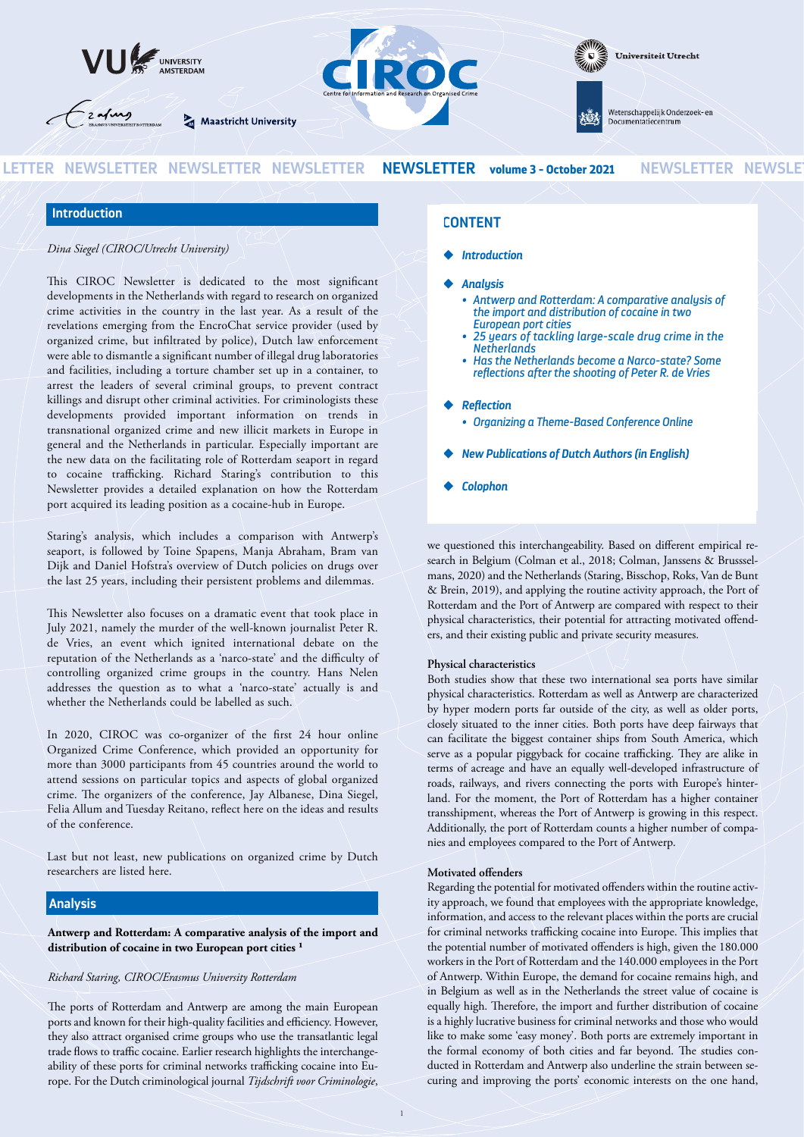

# **Introduction**

*Dina Siegel (CIROC/Utrecht University)*

This CIROC Newsletter is dedicated to the most significant developments in the Netherlands with regard to research on organized crime activities in the country in the last year. As a result of the revelations emerging from the EncroChat service provider (used by organized crime, but infiltrated by police), Dutch law enforcement were able to dismantle a significant number of illegal drug laboratories and facilities, including a torture chamber set up in a container, to arrest the leaders of several criminal groups, to prevent contract killings and disrupt other criminal activities. For criminologists these developments provided important information on trends in transnational organized crime and new illicit markets in Europe in general and the Netherlands in particular. Especially important are the new data on the facilitating role of Rotterdam seaport in regard to cocaine trafficking. Richard Staring's contribution to this Newsletter provides a detailed explanation on how the Rotterdam port acquired its leading position as a cocaine-hub in Europe.

Staring's analysis, which includes a comparison with Antwerp's seaport, is followed by Toine Spapens, Manja Abraham, Bram van Dijk and Daniel Hofstra's overview of Dutch policies on drugs over the last 25 years, including their persistent problems and dilemmas.

This Newsletter also focuses on a dramatic event that took place in July 2021, namely the murder of the well-known journalist Peter R. de Vries, an event which ignited international debate on the reputation of the Netherlands as a 'narco-state' and the difficulty of controlling organized crime groups in the country. Hans Nelen addresses the question as to what a 'narco-state' actually is and whether the Netherlands could be labelled as such.

In 2020, CIROC was co-organizer of the first 24 hour online Organized Crime Conference, which provided an opportunity for more than 3000 participants from 45 countries around the world to attend sessions on particular topics and aspects of global organized crime. The organizers of the conference, Jay Albanese, Dina Siegel, Felia Allum and Tuesday Reitano, reflect here on the ideas and results of the conference.

Last but not least, new publications on organized crime by Dutch researchers are listed here.

# **Analysis**

**Antwerp and Rotterdam: A comparative analysis of the import and** distribution of cocaine in two European port cities<sup>1</sup>

#### *Richard Staring, CIROC/Erasmus University Rotterdam*

The ports of Rotterdam and Antwerp are among the main European ports and known for their high-quality facilities and efficiency. However, they also attract organised crime groups who use the transatlantic legal trade flows to traffic cocaine. Earlier research highlights the interchangeability of these ports for criminal networks trafficking cocaine into Europe. For the Dutch criminological journal *Tijdschrift voor Criminologie*,

# **CONTENT**

- ◆ *Introduction*
- ◆ *Analysis*
	- *• Antwerp and Rotterdam: A comparative analysis of the import and distribution of cocaine in two European port cities*
	- *• 25 years of tackling large-scale drug crime in the Netherlands*
	- *• Has the Netherlands become a Narco-state? Some reflections after the shooting of Peter R. de Vries*

### ◆ *Reflection*

- *Organizing a Theme-Based Conference Online*
- **New Publications of Dutch Authors (in English)**
- ◆ *Colophon*

we questioned this interchangeability. Based on different empirical research in Belgium (Colman et al., 2018; Colman, Janssens & Brusssel‐ mans, 2020) and the Netherlands (Staring, Bisschop, Roks, Van de Bunt & Brein, 2019), and applying the routine activity approach, the Port of Rotterdam and the Port of Antwerp are compared with respect to their physical characteristics, their potential for attracting motivated offend‐ ers, and their existing public and private security measures.

#### **Physical characteristics**

Both studies show that these two international sea ports have similar physical characteristics. Rotterdam as well as Antwerp are characterized by hyper modern ports far outside of the city, as well as older ports, closely situated to the inner cities. Both ports have deep fairways that can facilitate the biggest container ships from South America, which serve as a popular piggyback for cocaine trafficking. They are alike in terms of acreage and have an equally well-developed infrastructure of roads, railways, and rivers connecting the ports with Europe's hinter‐ land. For the moment, the Port of Rotterdam has a higher container transshipment, whereas the Port of Antwerp is growing in this respect. Additionally, the port of Rotterdam counts a higher number of companies and employees compared to the Port of Antwerp.

#### **Motivated offenders**

Regarding the potential for motivated offenders within the routine activity approach, we found that employees with the appropriate knowledge, information, and access to the relevant places within the ports are crucial for criminal networks trafficking cocaine into Europe. This implies that the potential number of motivated offenders is high, given the 180.000 workers in the Port of Rotterdam and the 140.000 employees in the Port of Antwerp. Within Europe, the demand for cocaine remains high, and in Belgium as well as in the Netherlands the street value of cocaine is equally high. Therefore, the import and further distribution of cocaine is a highly lucrative business for criminal networks and those who would like to make some 'easy money'. Both ports are extremely important in the formal economy of both cities and far beyond. The studies conducted in Rotterdam and Antwerp also underline the strain between securing and improving the ports' economic interests on the one hand,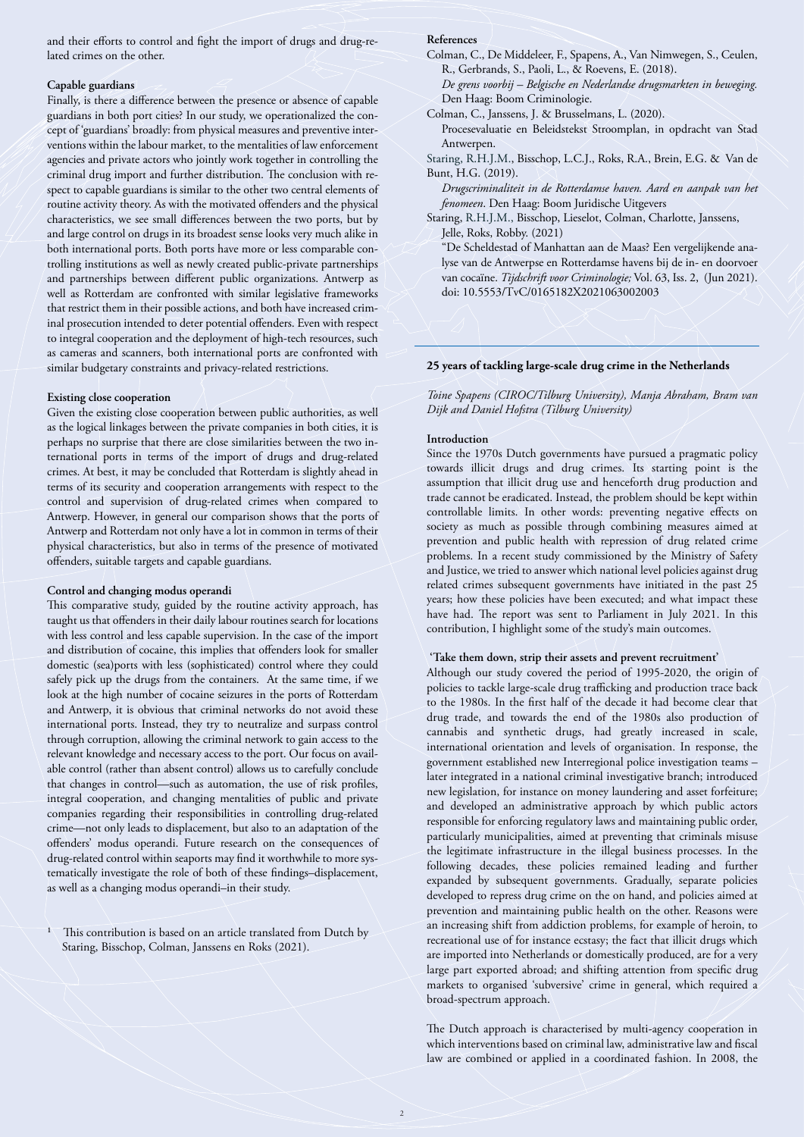and their efforts to control and fight the import of drugs and drug-related crimes on the other.

#### **Capable guardians**

Finally, is there a difference between the presence or absence of capable guardians in both port cities? In our study, we operationalized the concept of 'guardians' broadly: from physical measures and preventive inter‐ ventions within the labour market, to the mentalities of law enforcement agencies and private actors who jointly work together in controlling the criminal drug import and further distribution. The conclusion with respect to capable guardians is similar to the other two central elements of routine activity theory. As with the motivated offenders and the physical characteristics, we see small differences between the two ports, but by and large control on drugs in its broadest sense looks very much alike in both international ports. Both ports have more or less comparable controlling institutions as well as newly created public-private partnerships and partnerships between different public organizations. Antwerp as well as Rotterdam are confronted with similar legislative frameworks that restrict them in their possible actions, and both have increased criminal prosecution intended to deter potential offenders. Even with respect to integral cooperation and the deployment of high-tech resources, such as cameras and scanners, both international ports are confronted with similar budgetary constraints and privacy-related restrictions.

#### **Existing close cooperation**

Given the existing close cooperation between public authorities, as well as the logical linkages between the private companies in both cities, it is perhaps no surprise that there are close similarities between the two international ports in terms of the import of drugs and drug-related crimes. At best, it may be concluded that Rotterdam is slightly ahead in terms of its security and cooperation arrangements with respect to the control and supervision of drug-related crimes when compared to Antwerp. However, in general our comparison shows that the ports of Antwerp and Rotterdam not only have a lot in common in terms of their physical characteristics, but also in terms of the presence of motivated offenders, suitable targets and capable guardians.

#### **Control and changing modus operandi**

This comparative study, guided by the routine activity approach, has taught us that offenders in their daily labour routines search for locations with less control and less capable supervision. In the case of the import and distribution of cocaine, this implies that offenders look for smaller domestic (sea)ports with less (sophisticated) control where they could safely pick up the drugs from the containers. At the same time, if we look at the high number of cocaine seizures in the ports of Rotterdam and Antwerp, it is obvious that criminal networks do not avoid these international ports. Instead, they try to neutralize and surpass control through corruption, allowing the criminal network to gain access to the relevant knowledge and necessary access to the port. Our focus on avail‐ able control (rather than absent control) allows us to carefully conclude that changes in control—such as automation, the use of risk profiles, integral cooperation, and changing mentalities of public and private companies regarding their responsibilities in controlling drug-related crime—not only leads to displacement, but also to an adaptation of the offenders' modus operandi. Future research on the consequences of drug-related control within seaports may find it worthwhile to more systematically investigate the role of both of these findings–displacement, as well as a changing modus operandi–in their study.

 $\frac{1}{1}$  This contribution is based on an article translated from Dutch by Staring, Bisschop, Colman, Janssens en Roks (2021).

#### **References**

Colman, C., De Middeleer, F., Spapens, A., Van Nimwegen, S., Ceulen, R., Gerbrands, S., Paoli, L., & Roevens, E. (2018).

*De grens voorbij – Belgische en Nederlandse drugsmarkten in beweging.* Den Haag: Boom Criminologie.

Colman, C., Janssens, J. & Brusselmans, L. (2020).

Procesevaluatie en Beleidstekst Stroomplan, in opdracht van Stad Antwerpen.

Staring, R.H.J.M., Bisschop, L.C.J., Roks, R.A., Brein, E.G. & Van de Bunt, H.G. (2019).

*Drugscriminaliteit in de Rotterdamse haven. Aard en aanpak van het fenomeen*. Den Haag: Boom Juridische Uitgevers

Staring, R.H.J.M., Bisschop, Lieselot, Colman, Charlotte, Janssens, Jelle, Roks, Robby. (2021)

"De Scheldestad of Manhattan aan de Maas? Een vergelijkende ana‐ lyse van de Antwerpse en Rotterdamse havens bij de in- en doorvoer van cocaïne. *Tijdschrift voor Criminologie;* Vol. 63, Iss. 2, (Jun 2021). doi: 10.5553/TvC/0165182X2021063002003

### **25 years of tackling large-scale drug crime in the Netherlands**

*Toine Spapens (CIROC/Tilburg University), Manja Abraham, Bram van Dijk and Daniel Hofstra (Tilburg University)*

#### **Introduction**

Since the 1970s Dutch governments have pursued a pragmatic policy towards illicit drugs and drug crimes. Its starting point is the assumption that illicit drug use and henceforth drug production and trade cannot be eradicated. Instead, the problem should be kept within controllable limits. In other words: preventing negative effects on society as much as possible through combining measures aimed at prevention and public health with repression of drug related crime problems. In a recent study commissioned by the Ministry of Safety and Justice, we tried to answer which national level policies against drug related crimes subsequent governments have initiated in the past 25 years; how these policies have been executed; and what impact these have had. The report was sent to Parliament in July 2021. In this contribution, I highlight some of the study's main outcomes.

### **'Take them down, strip their assets and prevent recruitment'**

Although our study covered the period of 1995-2020, the origin of policies to tackle large-scale drug trafficking and production trace back to the 1980s. In the first half of the decade it had become clear that drug trade, and towards the end of the 1980s also production of cannabis and synthetic drugs, had greatly increased in scale, international orientation and levels of organisation. In response, the government established new Interregional police investigation teams – later integrated in a national criminal investigative branch; introduced new legislation, for instance on money laundering and asset forfeiture; and developed an administrative approach by which public actors responsible for enforcing regulatory laws and maintaining public order, particularly municipalities, aimed at preventing that criminals misuse the legitimate infrastructure in the illegal business processes. In the following decades, these policies remained leading and further expanded by subsequent governments. Gradually, separate policies developed to repress drug crime on the on hand, and policies aimed at prevention and maintaining public health on the other. Reasons were an increasing shift from addiction problems, for example of heroin, to recreational use of for instance ecstasy; the fact that illicit drugs which are imported into Netherlands or domestically produced, are for a very large part exported abroad; and shifting attention from specific drug markets to organised 'subversive' crime in general, which required a broad-spectrum approach.

The Dutch approach is characterised by multi-agency cooperation in which interventions based on criminal law, administrative law and fiscal law are combined or applied in a coordinated fashion. In 2008, the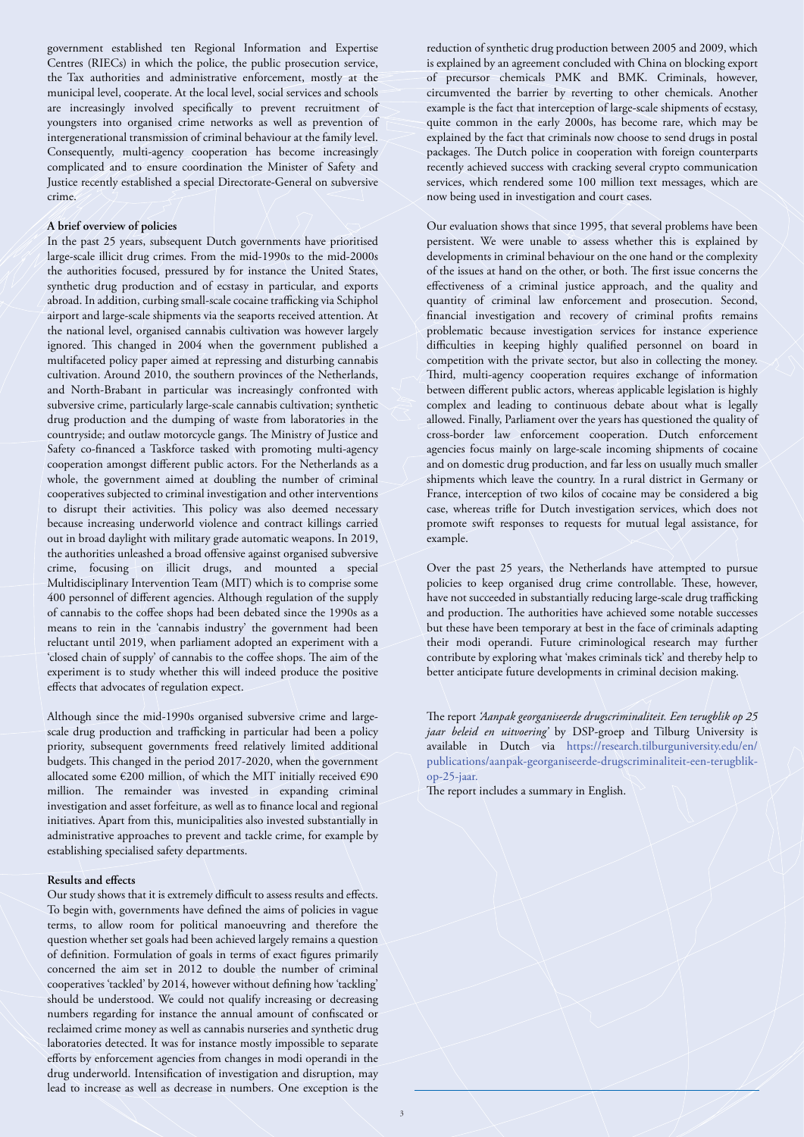government established ten Regional Information and Expertise Centres (RIECs) in which the police, the public prosecution service, the Tax authorities and administrative enforcement, mostly at the municipal level, cooperate. At the local level, social services and schools are increasingly involved specifically to prevent recruitment of youngsters into organised crime networks as well as prevention of intergenerational transmission of criminal behaviour at the family level. Consequently, multi-agency cooperation has become increasingly complicated and to ensure coordination the Minister of Safety and Justice recently established a special Directorate-General on subversive crime.

### **A brief overview of policies**

In the past 25 years, subsequent Dutch governments have prioritised large-scale illicit drug crimes. From the mid-1990s to the mid-2000s the authorities focused, pressured by for instance the United States, synthetic drug production and of ecstasy in particular, and exports abroad. In addition, curbing small-scale cocaine trafficking via Schiphol airport and large-scale shipments via the seaports received attention. At the national level, organised cannabis cultivation was however largely ignored. This changed in 2004 when the government published a multifaceted policy paper aimed at repressing and disturbing cannabis cultivation. Around 2010, the southern provinces of the Netherlands, and North-Brabant in particular was increasingly confronted with subversive crime, particularly large-scale cannabis cultivation; synthetic drug production and the dumping of waste from laboratories in the countryside; and outlaw motorcycle gangs. The Ministry of Justice and Safety co-financed a Taskforce tasked with promoting multi-agency cooperation amongst different public actors. For the Netherlands as a whole, the government aimed at doubling the number of criminal cooperatives subjected to criminal investigation and other interventions to disrupt their activities. This policy was also deemed necessary because increasing underworld violence and contract killings carried out in broad daylight with military grade automatic weapons. In 2019, the authorities unleashed a broad offensive against organised subversive crime, focusing on illicit drugs, and mounted a special Multidisciplinary Intervention Team (MIT) which is to comprise some 400 personnel of different agencies. Although regulation of the supply of cannabis to the coffee shops had been debated since the 1990s as a means to rein in the 'cannabis industry' the government had been reluctant until 2019, when parliament adopted an experiment with a 'closed chain of supply' of cannabis to the coffee shops. The aim of the experiment is to study whether this will indeed produce the positive effects that advocates of regulation expect.

Although since the mid-1990s organised subversive crime and largescale drug production and trafficking in particular had been a policy priority, subsequent governments freed relatively limited additional budgets. This changed in the period 2017-2020, when the government allocated some  $€200$  million, of which the MIT initially received  $€90$ million. The remainder was invested in expanding criminal investigation and asset forfeiture, as well as to finance local and regional initiatives. Apart from this, municipalities also invested substantially in administrative approaches to prevent and tackle crime, for example by establishing specialised safety departments.

### **Results and effects**

Our study shows that it is extremely difficult to assess results and effects. To begin with, governments have defined the aims of policies in vague terms, to allow room for political manoeuvring and therefore the question whether set goals had been achieved largely remains a question of definition. Formulation of goals in terms of exact figures primarily concerned the aim set in 2012 to double the number of criminal cooperatives 'tackled' by 2014, however without defining how 'tackling' should be understood. We could not qualify increasing or decreasing numbers regarding for instance the annual amount of confiscated or reclaimed crime money as well as cannabis nurseries and synthetic drug laboratories detected. It was for instance mostly impossible to separate efforts by enforcement agencies from changes in modi operandi in the drug underworld. Intensification of investigation and disruption, may lead to increase as well as decrease in numbers. One exception is the

reduction of synthetic drug production between 2005 and 2009, which is explained by an agreement concluded with China on blocking export of precursor chemicals PMK and BMK. Criminals, however, circumvented the barrier by reverting to other chemicals. Another example is the fact that interception of large-scale shipments of ecstasy, quite common in the early 2000s, has become rare, which may be explained by the fact that criminals now choose to send drugs in postal packages. The Dutch police in cooperation with foreign counterparts recently achieved success with cracking several crypto communication services, which rendered some 100 million text messages, which are now being used in investigation and court cases.

Our evaluation shows that since 1995, that several problems have been persistent. We were unable to assess whether this is explained by developments in criminal behaviour on the one hand or the complexity of the issues at hand on the other, or both. The first issue concerns the effectiveness of a criminal justice approach, and the quality and quantity of criminal law enforcement and prosecution. Second, financial investigation and recovery of criminal profits remains problematic because investigation services for instance experience difficulties in keeping highly qualified personnel on board in competition with the private sector, but also in collecting the money. Third, multi-agency cooperation requires exchange of information between different public actors, whereas applicable legislation is highly complex and leading to continuous debate about what is legally allowed. Finally, Parliament over the years has questioned the quality of cross-border law enforcement cooperation. Dutch enforcement agencies focus mainly on large-scale incoming shipments of cocaine and on domestic drug production, and far less on usually much smaller shipments which leave the country. In a rural district in Germany or France, interception of two kilos of cocaine may be considered a big case, whereas trifle for Dutch investigation services, which does not promote swift responses to requests for mutual legal assistance, for example.

Over the past 25 years, the Netherlands have attempted to pursue policies to keep organised drug crime controllable. These, however, have not succeeded in substantially reducing large-scale drug trafficking and production. The authorities have achieved some notable successes but these have been temporary at best in the face of criminals adapting their modi operandi. Future criminological research may further contribute by exploring what 'makes criminals tick' and thereby help to better anticipate future developments in criminal decision making.

The report *'Aanpak georganiseerde drugscriminaliteit. Een terugblik op 25 jaar beleid en uitvoering'* by DSP-groep and Tilburg University is available in Dutch via https://research.tilburguniversity.edu/en/ publications/aanpak-georganiseerde-drugscriminaliteit-een-terugblikop-25-jaar.

The report includes a summary in English.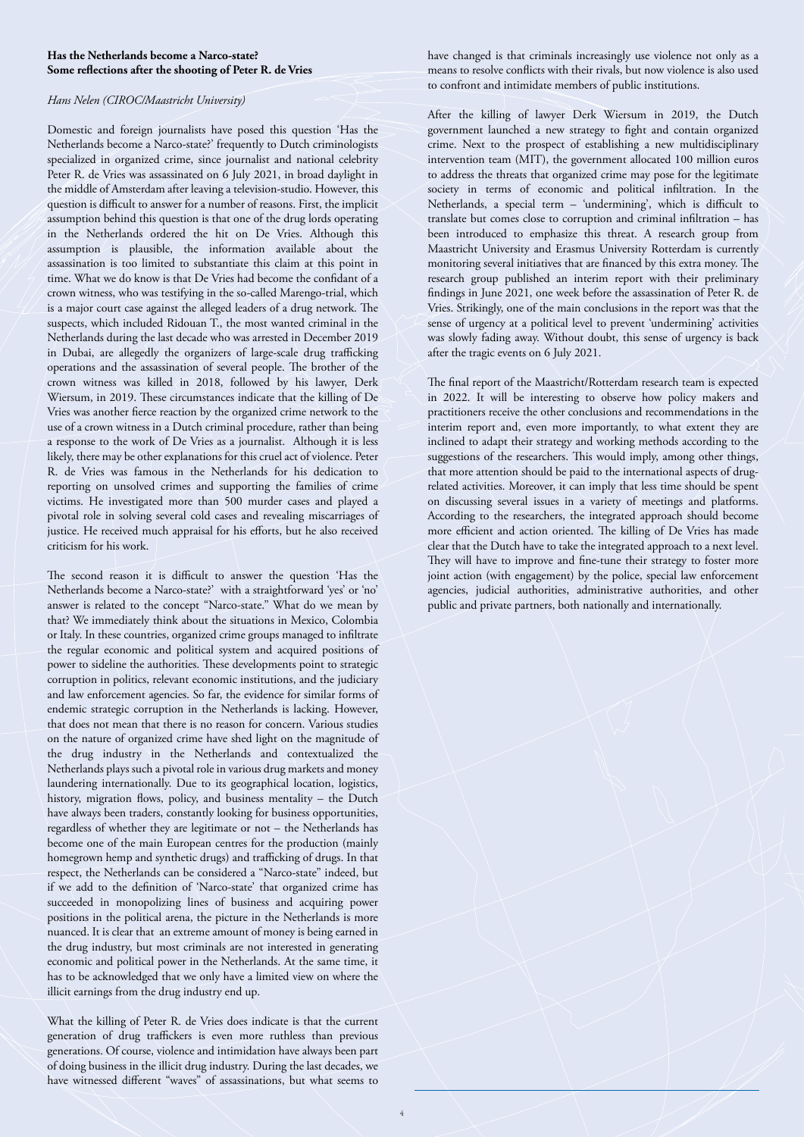### **Has the Netherlands become a Narco-state? Some reflections after the shooting of Peter R. de Vries**

### *Hans Nelen (CIROC/Maastricht University)*

Domestic and foreign journalists have posed this question 'Has the Netherlands become a Narco-state?' frequently to Dutch criminologists specialized in organized crime, since journalist and national celebrity Peter R. de Vries was assassinated on 6 July 2021, in broad daylight in the middle of Amsterdam after leaving a television-studio. However, this question is difficult to answer for a number of reasons. First, the implicit assumption behind this question is that one of the drug lords operating in the Netherlands ordered the hit on De Vries. Although this assumption is plausible, the information available about the assassination is too limited to substantiate this claim at this point in time. What we do know is that De Vries had become the confidant of a crown witness, who was testifying in the so-called Marengo-trial, which is a major court case against the alleged leaders of a drug network. The suspects, which included Ridouan T., the most wanted criminal in the Netherlands during the last decade who was arrested in December 2019 in Dubai, are allegedly the organizers of large-scale drug trafficking operations and the assassination of several people. The brother of the crown witness was killed in 2018, followed by his lawyer, Derk Wiersum, in 2019. These circumstances indicate that the killing of De Vries was another fierce reaction by the organized crime network to the use of a crown witness in a Dutch criminal procedure, rather than being a response to the work of De Vries as a journalist. Although it is less likely, there may be other explanations for this cruel act of violence. Peter R. de Vries was famous in the Netherlands for his dedication to reporting on unsolved crimes and supporting the families of crime victims. He investigated more than 500 murder cases and played a pivotal role in solving several cold cases and revealing miscarriages of justice. He received much appraisal for his efforts, but he also received criticism for his work.

The second reason it is difficult to answer the question 'Has the Netherlands become a Narco-state?' with a straightforward 'yes' or 'no' answer is related to the concept "Narco-state." What do we mean by that? We immediately think about the situations in Mexico, Colombia or Italy. In these countries, organized crime groups managed to infiltrate the regular economic and political system and acquired positions of power to sideline the authorities. These developments point to strategic corruption in politics, relevant economic institutions, and the judiciary and law enforcement agencies. So far, the evidence for similar forms of endemic strategic corruption in the Netherlands is lacking. However, that does not mean that there is no reason for concern. Various studies on the nature of organized crime have shed light on the magnitude of the drug industry in the Netherlands and contextualized the Netherlands plays such a pivotal role in various drug markets and money laundering internationally. Due to its geographical location, logistics, history, migration flows, policy, and business mentality – the Dutch have always been traders, constantly looking for business opportunities, regardless of whether they are legitimate or not – the Netherlands has become one of the main European centres for the production (mainly homegrown hemp and synthetic drugs) and trafficking of drugs. In that respect, the Netherlands can be considered a "Narco-state" indeed, but if we add to the definition of 'Narco-state' that organized crime has succeeded in monopolizing lines of business and acquiring power positions in the political arena, the picture in the Netherlands is more nuanced. It is clear that an extreme amount of money is being earned in the drug industry, but most criminals are not interested in generating economic and political power in the Netherlands. At the same time, it has to be acknowledged that we only have a limited view on where the illicit earnings from the drug industry end up.

What the killing of Peter R. de Vries does indicate is that the current generation of drug traffickers is even more ruthless than previous generations. Of course, violence and intimidation have always been part of doing business in the illicit drug industry. During the last decades, we have witnessed different "waves" of assassinations, but what seems to

have changed is that criminals increasingly use violence not only as a means to resolve conflicts with their rivals, but now violence is also used to confront and intimidate members of public institutions.

After the killing of lawyer Derk Wiersum in 2019, the Dutch government launched a new strategy to fight and contain organized crime. Next to the prospect of establishing a new multidisciplinary intervention team (MIT), the government allocated 100 million euros to address the threats that organized crime may pose for the legitimate society in terms of economic and political infiltration. In the Netherlands, a special term – 'undermining', which is difficult to translate but comes close to corruption and criminal infiltration – has been introduced to emphasize this threat. A research group from Maastricht University and Erasmus University Rotterdam is currently monitoring several initiatives that are financed by this extra money. The research group published an interim report with their preliminary findings in June 2021, one week before the assassination of Peter R. de Vries. Strikingly, one of the main conclusions in the report was that the sense of urgency at a political level to prevent 'undermining' activities was slowly fading away. Without doubt, this sense of urgency is back after the tragic events on 6 July 2021.

The final report of the Maastricht/Rotterdam research team is expected in 2022. It will be interesting to observe how policy makers and practitioners receive the other conclusions and recommendations in the interim report and, even more importantly, to what extent they are inclined to adapt their strategy and working methods according to the suggestions of the researchers. This would imply, among other things, that more attention should be paid to the international aspects of drugrelated activities. Moreover, it can imply that less time should be spent on discussing several issues in a variety of meetings and platforms. According to the researchers, the integrated approach should become more efficient and action oriented. The killing of De Vries has made clear that the Dutch have to take the integrated approach to a next level. They will have to improve and fine-tune their strategy to foster more joint action (with engagement) by the police, special law enforcement agencies, judicial authorities, administrative authorities, and other public and private partners, both nationally and internationally.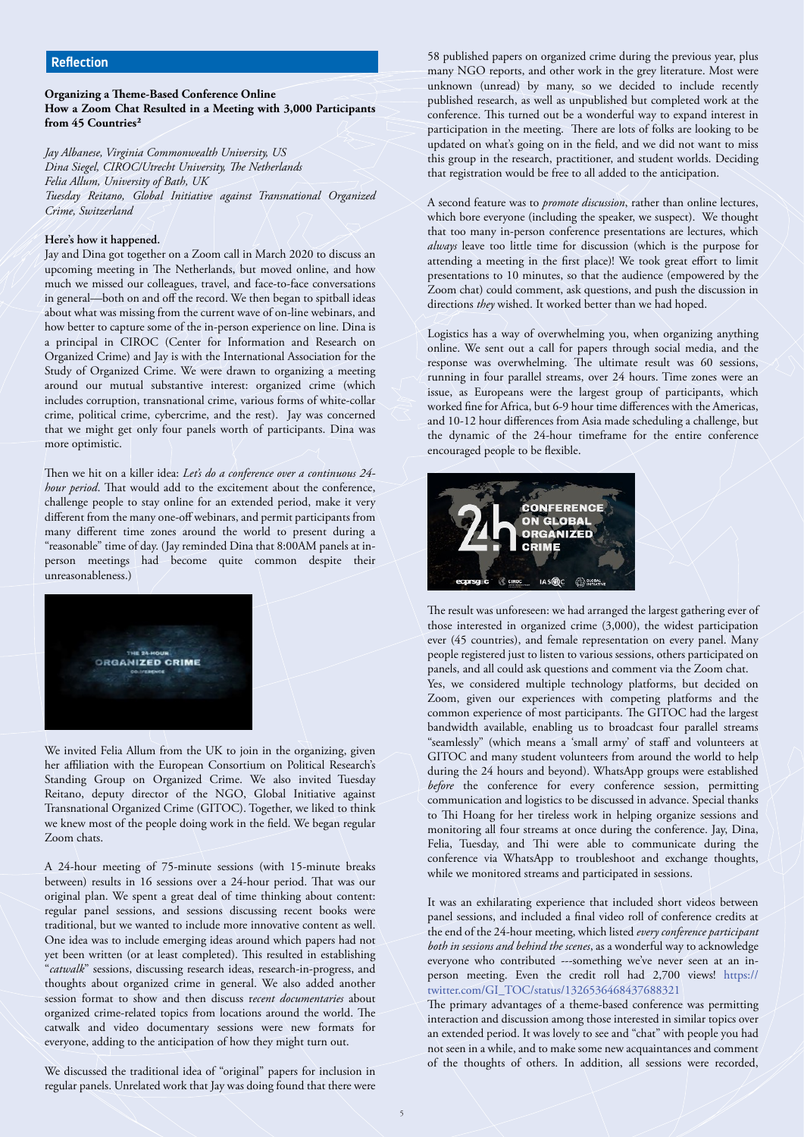**Organizing a Theme-Based Conference Online How a Zoom Chat Resulted in a Meeting with 3,000 Participants from 45 Countries²**

*Jay Albanese, Virginia Commonwealth University, US Dina Siegel, CIROC/Utrecht University, The Netherlands Felia Allum, University of Bath, UK Tuesday Reitano, Global Initiative against Transnational Organized Crime, Switzerland*

### **Here's how it happened.**

Jay and Dina got together on a Zoom call in March 2020 to discuss an upcoming meeting in The Netherlands, but moved online, and how much we missed our colleagues, travel, and face-to-face conversations in general—both on and off the record. We then began to spitball ideas about what was missing from the current wave of on-line webinars, and how better to capture some of the in-person experience on line. Dina is a principal in CIROC (Center for Information and Research on Organized Crime) and Jay is with the International Association for the Study of Organized Crime. We were drawn to organizing a meeting around our mutual substantive interest: organized crime (which includes corruption, transnational crime, various forms of white-collar crime, political crime, cybercrime, and the rest). Jay was concerned that we might get only four panels worth of participants. Dina was more optimistic.

Then we hit on a killer idea: *Let's do a conference over a continuous 24 hour period*. That would add to the excitement about the conference, challenge people to stay online for an extended period, make it very different from the many one-off webinars, and permit participants from many different time zones around the world to present during a "reasonable" time of day. (Jay reminded Dina that 8:00AM panels at inperson meetings had become quite common despite their unreasonableness.)



We invited Felia Allum from the UK to join in the organizing, given her affiliation with the European Consortium on Political Research's Standing Group on Organized Crime. We also invited Tuesday Reitano, deputy director of the NGO, Global Initiative against Transnational Organized Crime (GITOC). Together, we liked to think we knew most of the people doing work in the field. We began regular Zoom chats.

A 24-hour meeting of 75-minute sessions (with 15-minute breaks between) results in 16 sessions over a 24-hour period. That was our original plan. We spent a great deal of time thinking about content: regular panel sessions, and sessions discussing recent books were traditional, but we wanted to include more innovative content as well. One idea was to include emerging ideas around which papers had not yet been written (or at least completed). This resulted in establishing "*catwalk*" sessions, discussing research ideas, research-in-progress, and thoughts about organized crime in general. We also added another session format to show and then discuss r*ecent documentaries* about organized crime-related topics from locations around the world. The catwalk and video documentary sessions were new formats for everyone, adding to the anticipation of how they might turn out.

We discussed the traditional idea of "original" papers for inclusion in regular panels. Unrelated work that Jay was doing found that there were 58 published papers on organized crime during the previous year, plus many NGO reports, and other work in the grey literature. Most were unknown (unread) by many, so we decided to include recently published research, as well as unpublished but completed work at the conference. This turned out be a wonderful way to expand interest in participation in the meeting. There are lots of folks are looking to be updated on what's going on in the field, and we did not want to miss this group in the research, practitioner, and student worlds. Deciding that registration would be free to all added to the anticipation.

A second feature was to *promote discussion*, rather than online lectures, which bore everyone (including the speaker, we suspect). We thought that too many in-person conference presentations are lectures, which *always* leave too little time for discussion (which is the purpose for attending a meeting in the first place)! We took great effort to limit presentations to 10 minutes, so that the audience (empowered by the Zoom chat) could comment, ask questions, and push the discussion in directions *they* wished. It worked better than we had hoped.

Logistics has a way of overwhelming you, when organizing anything online. We sent out a call for papers through social media, and the response was overwhelming. The ultimate result was 60 sessions, running in four parallel streams, over 24 hours. Time zones were an issue, as Europeans were the largest group of participants, which worked fine for Africa, but 6-9 hour time differences with the Americas, and 10-12 hour differences from Asia made scheduling a challenge, but the dynamic of the 24-hour timeframe for the entire conference encouraged people to be flexible.



The result was unforeseen: we had arranged the largest gathering ever of those interested in organized crime (3,000), the widest participation ever (45 countries), and female representation on every panel. Many people registered just to listen to various sessions, others participated on panels, and all could ask questions and comment via the Zoom chat. Yes, we considered multiple technology platforms, but decided on Zoom, given our experiences with competing platforms and the common experience of most participants. The GITOC had the largest bandwidth available, enabling us to broadcast four parallel streams "seamlessly" (which means a 'small army' of staff and volunteers at GITOC and many student volunteers from around the world to help during the 24 hours and beyond). WhatsApp groups were established *before* the conference for every conference session, permitting communication and logistics to be discussed in advance. Special thanks to Thi Hoang for her tireless work in helping organize sessions and monitoring all four streams at once during the conference. Jay, Dina, Felia, Tuesday, and Thi were able to communicate during the conference via WhatsApp to troubleshoot and exchange thoughts, while we monitored streams and participated in sessions.

It was an exhilarating experience that included short videos between panel sessions, and included a final video roll of conference credits at the end of the 24-hour meeting, which listed *every conference participant both in sessions and behind the scenes*, as a wonderful way to acknowledge everyone who contributed ---something we've never seen at an inperson meeting. Even the credit roll had 2,700 views! https:// twitter.com/GI\_TOC/status/1326536468437688321

The primary advantages of a theme-based conference was permitting interaction and discussion among those interested in similar topics over an extended period. It was lovely to see and "chat" with people you had not seen in a while, and to make some new acquaintances and comment of the thoughts of others. In addition, all sessions were recorded,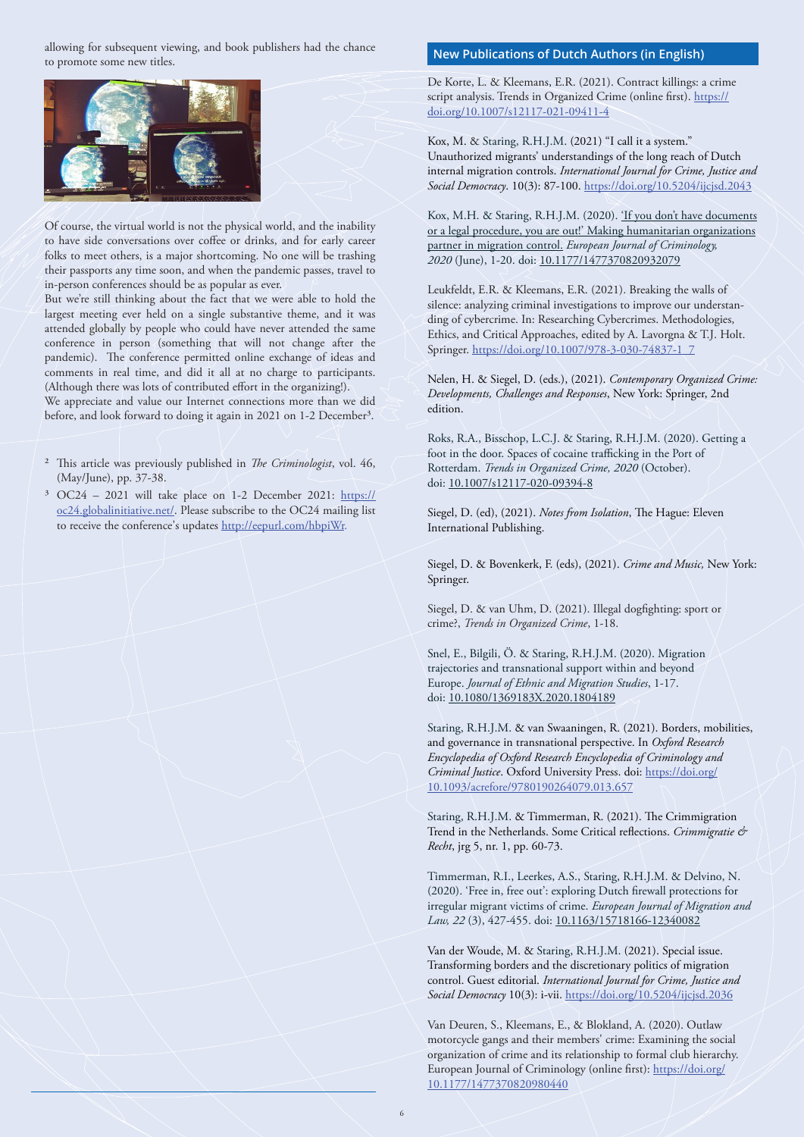allowing for subsequent viewing, and book publishers had the chance to promote some new titles.



Of course, the virtual world is not the physical world, and the inability to have side conversations over coffee or drinks, and for early career folks to meet others, is a major shortcoming. No one will be trashing their passports any time soon, and when the pandemic passes, travel to in-person conferences should be as popular as ever.

But we're still thinking about the fact that we were able to hold the largest meeting ever held on a single substantive theme, and it was attended globally by people who could have never attended the same conference in person (something that will not change after the pandemic). The conference permitted online exchange of ideas and comments in real time, and did it all at no charge to participants. (Although there was lots of contributed effort in the organizing!). We appreciate and value our Internet connections more than we did

before, and look forward to doing it again in 2021 on 1-2 December<sup>3</sup>.

- ² This article was previously published in *The Criminologist*, vol. 46, (May/June), pp. 37-38.
- ³ OC24 2021 will take place on 1-2 December 2021: https:// oc24.globalinitiative.net/. Please subscribe to the OC24 mailing list to receive the conference's updates http://eepurl.com/hbpiWr.

## **New Publications of Dutch Authors (in English)**

De Korte, L. & Kleemans, E.R. (2021). Contract killings: a crime script analysis. Trends in Organized Crime (online first). https:// doi.org/10.1007/s12117-021-09411-4

Kox, M. & Staring, R.H.J.M. (2021) "I call it a system." Unauthorized migrants' understandings of the long reach of Dutch internal migration controls. *International Journal for Crime, Justice and Social Democracy*. 10(3): 87-100. https://doi.org/10.5204/ijcjsd.2043

Kox, M.H. & Staring, R.H.J.M. (2020). 'If you don't have documents or a legal procedure, you are out!' Making humanitarian organizations partner in migration control. *European Journal of Criminology, 2020* (June), 1-20. doi: 10.1177/1477370820932079

Leukfeldt, E.R. & Kleemans, E.R. (2021). Breaking the walls of silence: analyzing criminal investigations to improve our understanding of cybercrime. In: Researching Cybercrimes. Methodologies, Ethics, and Critical Approaches, edited by A. Lavorgna & T.J. Holt. Springer. https://doi.org/10.1007/978-3-030-74837-1\_7

Nelen, H. & Siegel, D. (eds.), (2021). *Contemporary Organized Crime: Developments, Challenges and Responses*, New York: Springer, 2nd edition.

Roks, R.A., Bisschop, L.C.J. & Staring, R.H.J.M. (2020). Getting a foot in the door. Spaces of cocaine trafficking in the Port of Rotterdam. *Trends in Organized Crime, 2020* (October). doi: 10.1007/s12117-020-09394-8

Siegel, D. (ed), (2021). *Notes from Isolation*, The Hague: Eleven International Publishing.

Siegel, D. & Bovenkerk, F. (eds), (2021). *Crime and Music,* New York: Springer.

Siegel, D. & van Uhm, D. (2021). Illegal dogfighting: sport or crime?, *Trends in Organized Crime*, 1-18.

Snel, E., Bilgili, Ö. & Staring, R.H.J.M. (2020). Migration trajectories and transnational support within and beyond Europe. *Journal of Ethnic and Migration Studies*, 1-17. doi: 10.1080/1369183X.2020.1804189

Staring, R.H.J.M. & van Swaaningen, R. (2021). Borders, mobilities, and governance in transnational perspective. In *Oxford Research Encyclopedia of Oxford Research Encyclopedia of Criminology and Criminal Justice*. Oxford University Press. doi: https://doi.org/ 10.1093/acrefore/9780190264079.013.657

Staring, R.H.J.M. & Timmerman, R. (2021). The Crimmigration Trend in the Netherlands. Some Critical reflections. *Crimmigratie & Recht*, jrg 5, nr. 1, pp. 60-73.

Timmerman, R.I., Leerkes, A.S., Staring, R.H.J.M. & Delvino, N. (2020). 'Free in, free out': exploring Dutch firewall protections for irregular migrant victims of crime. *European Journal of Migration and* Law, 22 (3), 427-455. doi: 10.1163/15718166-12340082

Van der Woude, M. & Staring, R.H.J.M. (2021). Special issue. Transforming borders and the discretionary politics of migration control. Guest editorial. *International Journal for Crime, Justice and Social Democracy* 10(3): i-vii. https://doi.org/10.5204/ijcjsd.2036

Van Deuren, S., Kleemans, E., & Blokland, A. (2020). Outlaw motorcycle gangs and their members' crime: Examining the social organization of crime and its relationship to formal club hierarchy. European Journal of Criminology (online first): https://doi.org/ 10.1177/1477370820980440